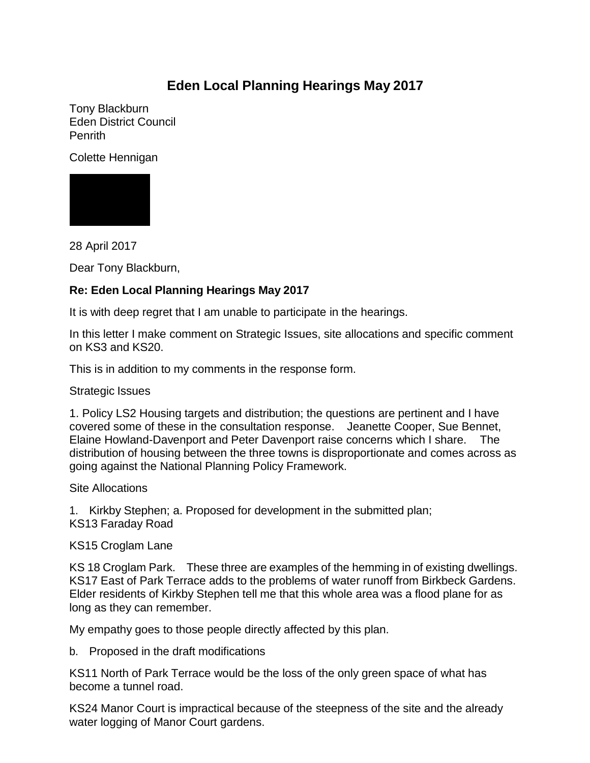## **Eden Local Planning Hearings May 2017**

Tony Blackburn Eden District Council Penrith

Colette Hennigan



28 April 2017

Dear Tony Blackburn,

## **Re: Eden Local Planning Hearings May 2017**

It is with deep regret that I am unable to participate in the hearings.

In this letter I make comment on Strategic Issues, site allocations and specific comment on KS3 and KS20.

This is in addition to my comments in the response form.

Strategic Issues

1. Policy LS2 Housing targets and distribution; the questions are pertinent and I have covered some of these in the consultation response. Jeanette Cooper, Sue Bennet, Elaine Howland-Davenport and Peter Davenport raise concerns which I share. The distribution of housing between the three towns is disproportionate and comes across as going against the National Planning Policy Framework.

Site Allocations

1. Kirkby Stephen; a. Proposed for development in the submitted plan; KS13 Faraday Road

KS15 Croglam Lane

KS 18 Croglam Park. These three are examples of the hemming in of existing dwellings. KS17 East of Park Terrace adds to the problems of water runoff from Birkbeck Gardens. Elder residents of Kirkby Stephen tell me that this whole area was a flood plane for as long as they can remember.

My empathy goes to those people directly affected by this plan.

b. Proposed in the draft modifications

KS11 North of Park Terrace would be the loss of the only green space of what has become a tunnel road.

KS24 Manor Court is impractical because of the steepness of the site and the already water logging of Manor Court gardens.